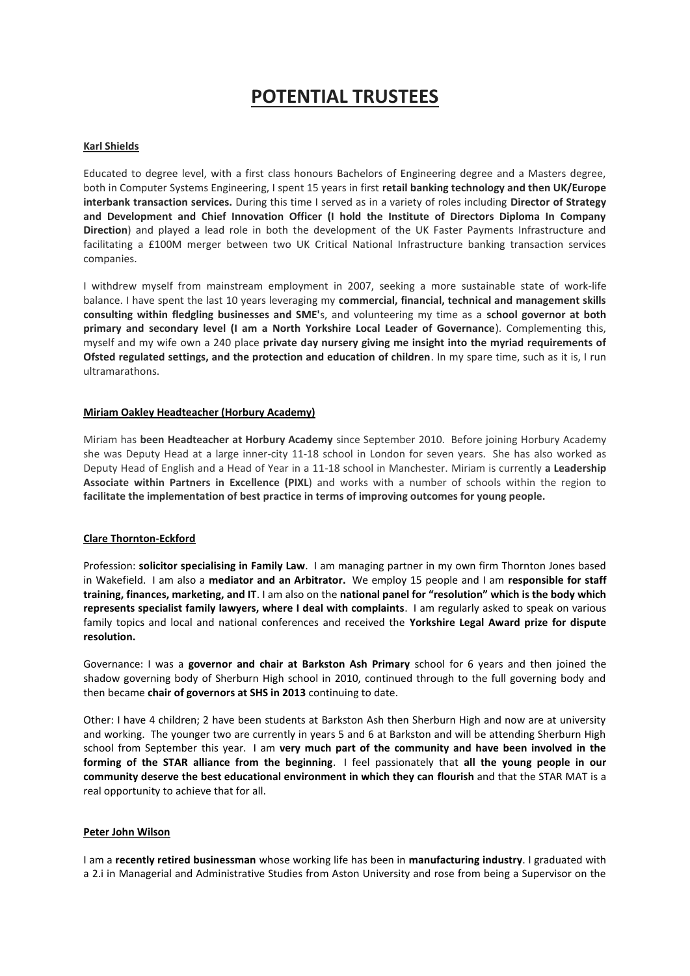# **POTENTIAL TRUSTEES**

## **Karl Shields**

Educated to degree level, with a first class honours Bachelors of Engineering degree and a Masters degree, both in Computer Systems Engineering, I spent 15 years in first **retail banking technology and then UK/Europe interbank transaction services.** During this time I served as in a variety of roles including **Director of Strategy and Development and Chief Innovation Officer (I hold the Institute of Directors Diploma In Company Direction**) and played a lead role in both the development of the UK Faster Payments Infrastructure and facilitating a £100M merger between two UK Critical National Infrastructure banking transaction services companies.

I withdrew myself from mainstream employment in 2007, seeking a more sustainable state of work-life balance. I have spent the last 10 years leveraging my **commercial, financial, technical and management skills consulting within fledgling businesses and SME'**s, and volunteering my time as a **school governor at both primary and secondary level (I am a North Yorkshire Local Leader of Governance**). Complementing this, myself and my wife own a 240 place **private day nursery giving me insight into the myriad requirements of Ofsted regulated settings, and the protection and education of children**. In my spare time, such as it is, I run ultramarathons.

#### **Miriam Oakley Headteacher (Horbury Academy)**

Miriam has **been Headteacher at Horbury Academy** since September 2010. Before joining Horbury Academy she was Deputy Head at a large inner-city 11-18 school in London for seven years. She has also worked as Deputy Head of English and a Head of Year in a 11-18 school in Manchester. Miriam is currently **a Leadership Associate within Partners in Excellence (PIXL**) and works with a number of schools within the region to **facilitate the implementation of best practice in terms of improving outcomes for young people.**

#### **Clare Thornton-Eckford**

Profession: **solicitor specialising in Family Law**. I am managing partner in my own firm Thornton Jones based in Wakefield. I am also a **mediator and an Arbitrator.** We employ 15 people and I am **responsible for staff training, finances, marketing, and IT**. I am also on the **national panel for "resolution" which is the body which represents specialist family lawyers, where I deal with complaints**. I am regularly asked to speak on various family topics and local and national conferences and received the **Yorkshire Legal Award prize for dispute resolution.**

Governance: I was a **governor and chair at Barkston Ash Primary** school for 6 years and then joined the shadow governing body of Sherburn High school in 2010, continued through to the full governing body and then became **chair of governors at SHS in 2013** continuing to date.

Other: I have 4 children; 2 have been students at Barkston Ash then Sherburn High and now are at university and working. The younger two are currently in years 5 and 6 at Barkston and will be attending Sherburn High school from September this year. I am **very much part of the community and have been involved in the forming of the STAR alliance from the beginning**. I feel passionately that **all the young people in our community deserve the best educational environment in which they can flourish** and that the STAR MAT is a real opportunity to achieve that for all.

#### **Peter John Wilson**

I am a **recently retired businessman** whose working life has been in **manufacturing industry**. I graduated with a 2.i in Managerial and Administrative Studies from Aston University and rose from being a Supervisor on the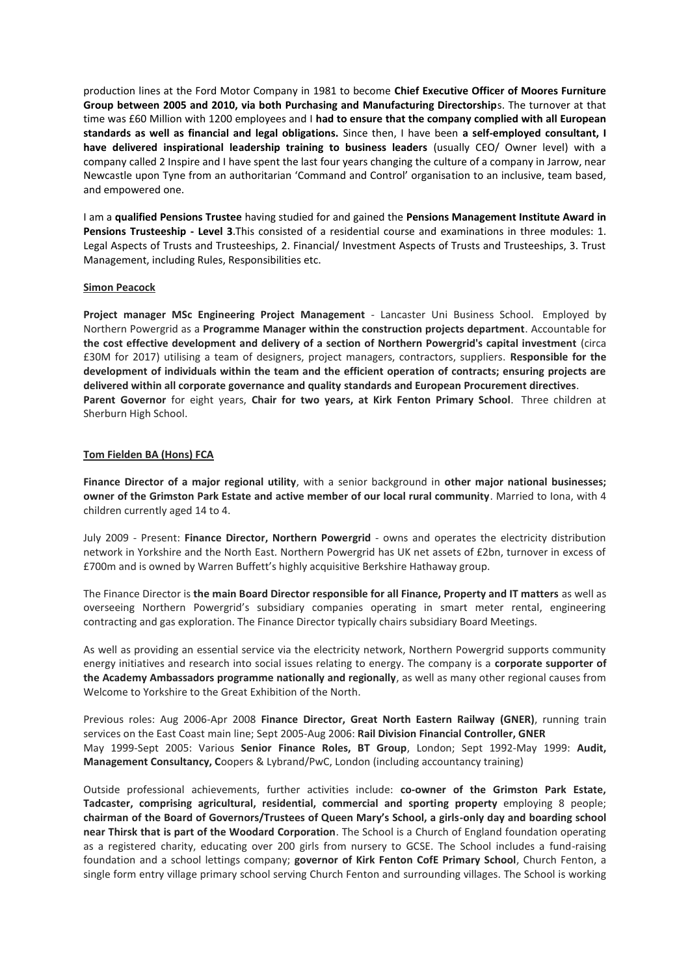production lines at the Ford Motor Company in 1981 to become **Chief Executive Officer of Moores Furniture Group between 2005 and 2010, via both Purchasing and Manufacturing Directorship**s. The turnover at that time was £60 Million with 1200 employees and I **had to ensure that the company complied with all European standards as well as financial and legal obligations.** Since then, I have been **a self-employed consultant, I have delivered inspirational leadership training to business leaders** (usually CEO/ Owner level) with a company called 2 Inspire and I have spent the last four years changing the culture of a company in Jarrow, near Newcastle upon Tyne from an authoritarian 'Command and Control' organisation to an inclusive, team based, and empowered one.

I am a **qualified Pensions Trustee** having studied for and gained the **Pensions Management Institute Award in Pensions Trusteeship - Level 3**.This consisted of a residential course and examinations in three modules: 1. Legal Aspects of Trusts and Trusteeships, 2. Financial/ Investment Aspects of Trusts and Trusteeships, 3. Trust Management, including Rules, Responsibilities etc.

## **Simon Peacock**

**Project manager MSc Engineering Project Management** - Lancaster Uni Business School. Employed by Northern Powergrid as a **Programme Manager within the construction projects department**. Accountable for **the cost effective development and delivery of a section of Northern Powergrid's capital investment** (circa £30M for 2017) utilising a team of designers, project managers, contractors, suppliers. **Responsible for the development of individuals within the team and the efficient operation of contracts; ensuring projects are delivered within all corporate governance and quality standards and European Procurement directives**. **Parent Governor** for eight years, **Chair for two years, at Kirk Fenton Primary School**. Three children at Sherburn High School.

## **Tom Fielden BA (Hons) FCA**

**Finance Director of a major regional utility**, with a senior background in **other major national businesses; owner of the Grimston Park Estate and active member of our local rural community**. Married to Iona, with 4 children currently aged 14 to 4.

July 2009 - Present: **Finance Director, Northern Powergrid** - owns and operates the electricity distribution network in Yorkshire and the North East. Northern Powergrid has UK net assets of £2bn, turnover in excess of £700m and is owned by Warren Buffett's highly acquisitive Berkshire Hathaway group.

The Finance Director is **the main Board Director responsible for all Finance, Property and IT matters** as well as overseeing Northern Powergrid's subsidiary companies operating in smart meter rental, engineering contracting and gas exploration. The Finance Director typically chairs subsidiary Board Meetings.

As well as providing an essential service via the electricity network, Northern Powergrid supports community energy initiatives and research into social issues relating to energy. The company is a **corporate supporter of the Academy Ambassadors programme nationally and regionally**, as well as many other regional causes from Welcome to Yorkshire to the Great Exhibition of the North.

Previous roles: Aug 2006-Apr 2008 **Finance Director, Great North Eastern Railway (GNER)**, running train services on the East Coast main line; Sept 2005-Aug 2006: **Rail Division Financial Controller, GNER** May 1999-Sept 2005: Various **Senior Finance Roles, BT Group**, London; Sept 1992-May 1999: **Audit, Management Consultancy, C**oopers & Lybrand/PwC, London (including accountancy training)

Outside professional achievements, further activities include: **co-owner of the Grimston Park Estate, Tadcaster, comprising agricultural, residential, commercial and sporting property** employing 8 people; **chairman of the Board of Governors/Trustees of Queen Mary's School, a girls-only day and boarding school near Thirsk that is part of the Woodard Corporation**. The School is a Church of England foundation operating as a registered charity, educating over 200 girls from nursery to GCSE. The School includes a fund-raising foundation and a school lettings company; **governor of Kirk Fenton CofE Primary School**, Church Fenton, a single form entry village primary school serving Church Fenton and surrounding villages. The School is working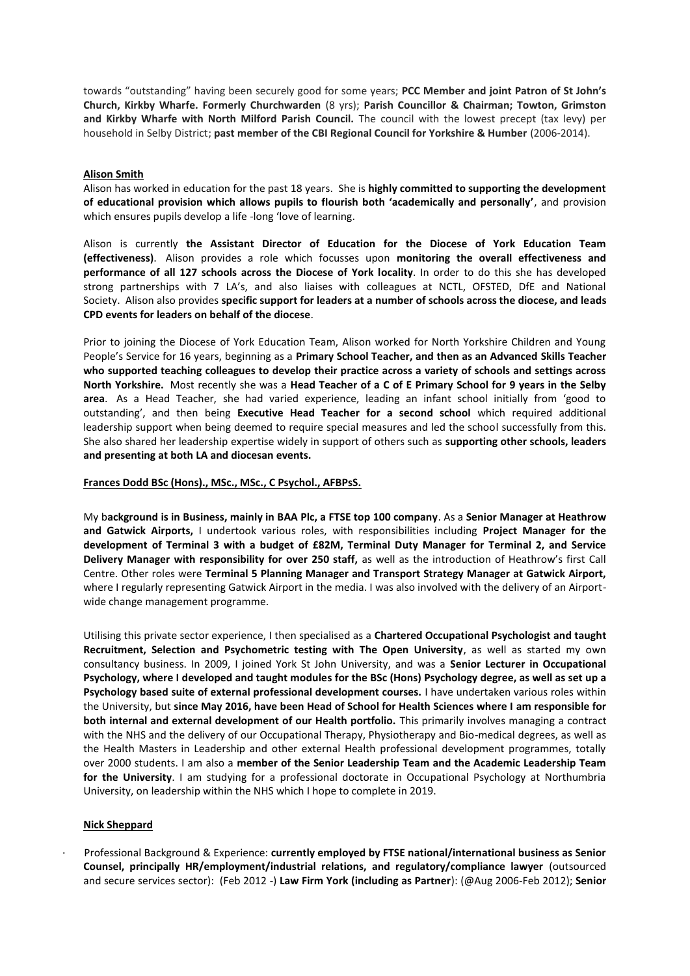towards "outstanding" having been securely good for some years; **PCC Member and joint Patron of St John's Church, Kirkby Wharfe. Formerly Churchwarden** (8 yrs); **Parish Councillor & Chairman; Towton, Grimston and Kirkby Wharfe with North Milford Parish Council.** The council with the lowest precept (tax levy) per household in Selby District; **past member of the CBI Regional Council for Yorkshire & Humber** (2006-2014).

#### **Alison Smith**

Alison has worked in education for the past 18 years. She is **highly committed to supporting the development of educational provision which allows pupils to flourish both 'academically and personally'**, and provision which ensures pupils develop a life -long 'love of learning.

Alison is currently **the Assistant Director of Education for the Diocese of York Education Team (effectiveness)**. Alison provides a role which focusses upon **monitoring the overall effectiveness and performance of all 127 schools across the Diocese of York locality**. In order to do this she has developed strong partnerships with 7 LA's, and also liaises with colleagues at NCTL, OFSTED, DfE and National Society. Alison also provides **specific support for leaders at a number of schools across the diocese, and leads CPD events for leaders on behalf of the diocese**.

Prior to joining the Diocese of York Education Team, Alison worked for North Yorkshire Children and Young People's Service for 16 years, beginning as a **Primary School Teacher, and then as an Advanced Skills Teacher who supported teaching colleagues to develop their practice across a variety of schools and settings across North Yorkshire.** Most recently she was a **Head Teacher of a C of E Primary School for 9 years in the Selby area**. As a Head Teacher, she had varied experience, leading an infant school initially from 'good to outstanding', and then being **Executive Head Teacher for a second school** which required additional leadership support when being deemed to require special measures and led the school successfully from this. She also shared her leadership expertise widely in support of others such as **supporting other schools, leaders and presenting at both LA and diocesan events.**

#### **Frances Dodd BSc (Hons)., MSc., MSc., C Psychol., AFBPsS.**

My b**ackground is in Business, mainly in BAA Plc, a FTSE top 100 company**. As a **Senior Manager at Heathrow and Gatwick Airports,** I undertook various roles, with responsibilities including **Project Manager for the development of Terminal 3 with a budget of £82M, Terminal Duty Manager for Terminal 2, and Service Delivery Manager with responsibility for over 250 staff,** as well as the introduction of Heathrow's first Call Centre. Other roles were **Terminal 5 Planning Manager and Transport Strategy Manager at Gatwick Airport,** where I regularly representing Gatwick Airport in the media. I was also involved with the delivery of an Airportwide change management programme.

Utilising this private sector experience, I then specialised as a **Chartered Occupational Psychologist and taught Recruitment, Selection and Psychometric testing with The Open University**, as well as started my own consultancy business. In 2009, I joined York St John University, and was a **Senior Lecturer in Occupational Psychology, where I developed and taught modules for the BSc (Hons) Psychology degree, as well as set up a Psychology based suite of external professional development courses.** I have undertaken various roles within the University, but **since May 2016, have been Head of School for Health Sciences where I am responsible for both internal and external development of our Health portfolio.** This primarily involves managing a contract with the NHS and the delivery of our Occupational Therapy, Physiotherapy and Bio-medical degrees, as well as the Health Masters in Leadership and other external Health professional development programmes, totally over 2000 students. I am also a **member of the Senior Leadership Team and the Academic Leadership Team for the University**. I am studying for a professional doctorate in Occupational Psychology at Northumbria University, on leadership within the NHS which I hope to complete in 2019.

#### **Nick Sheppard**

· Professional Background & Experience: **currently employed by FTSE national/international business as Senior Counsel, principally HR/employment/industrial relations, and regulatory/compliance lawyer** (outsourced and secure services sector): (Feb 2012 -) **Law Firm York (including as Partner**): (@Aug 2006-Feb 2012); **Senior**